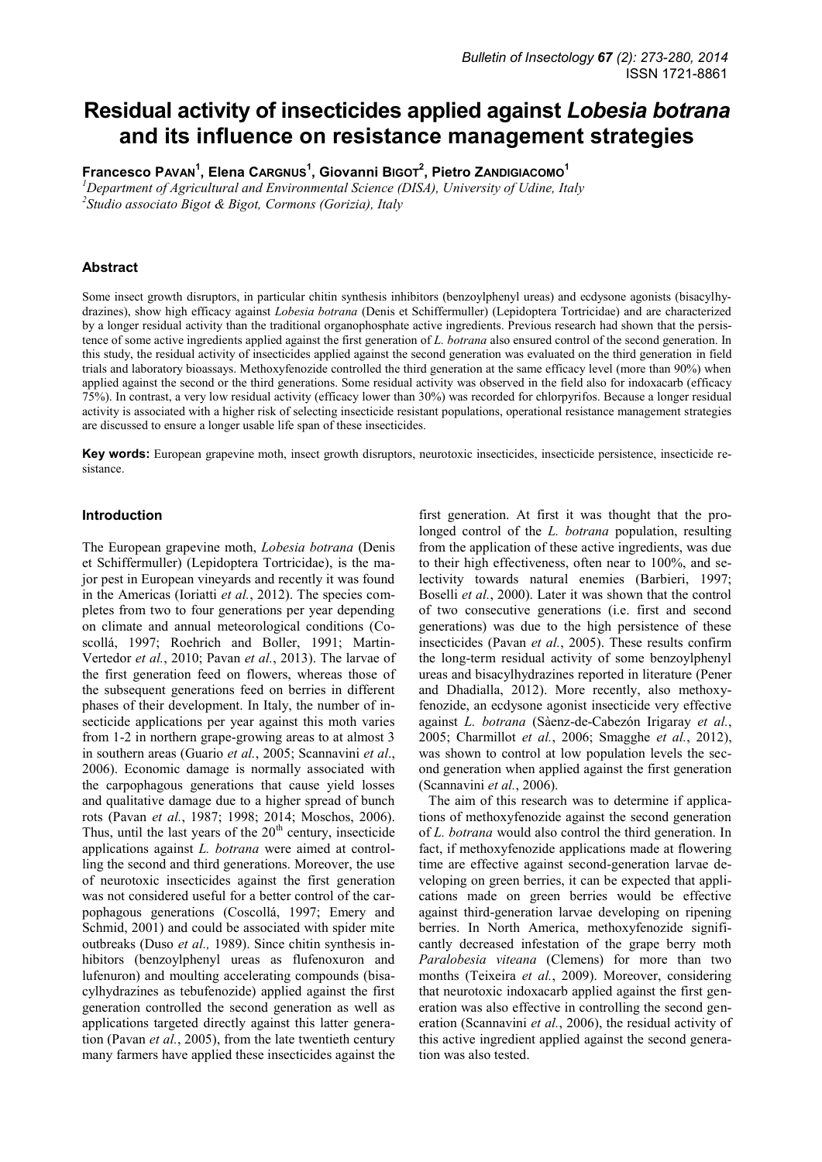# **Residual activity of insecticides applied against** *Lobesia botrana* **and its influence on resistance management strategies**

**Francesco PAVAN<sup>1</sup> , Elena CARGNUS<sup>1</sup> , Giovanni BIGOT<sup>2</sup> , Pietro ZANDIGIACOMO<sup>1</sup>**

*<sup>1</sup>Department of Agricultural and Environmental Science (DISA), University of Udine, Italy 2 Studio associato Bigot & Bigot, Cormons (Gorizia), Italy* 

# **Abstract**

Some insect growth disruptors, in particular chitin synthesis inhibitors (benzoylphenyl ureas) and ecdysone agonists (bisacylhydrazines), show high efficacy against *Lobesia botrana* (Denis et Schiffermuller) (Lepidoptera Tortricidae) and are characterized by a longer residual activity than the traditional organophosphate active ingredients. Previous research had shown that the persistence of some active ingredients applied against the first generation of *L. botrana* also ensured control of the second generation. In this study, the residual activity of insecticides applied against the second generation was evaluated on the third generation in field trials and laboratory bioassays. Methoxyfenozide controlled the third generation at the same efficacy level (more than 90%) when applied against the second or the third generations. Some residual activity was observed in the field also for indoxacarb (efficacy 75%). In contrast, a very low residual activity (efficacy lower than 30%) was recorded for chlorpyrifos. Because a longer residual activity is associated with a higher risk of selecting insecticide resistant populations, operational resistance management strategies are discussed to ensure a longer usable life span of these insecticides.

**Key words:** European grapevine moth, insect growth disruptors, neurotoxic insecticides, insecticide persistence, insecticide resistance.

# **Introduction**

The European grapevine moth, *Lobesia botrana* (Denis et Schiffermuller) (Lepidoptera Tortricidae), is the major pest in European vineyards and recently it was found in the Americas (Ioriatti *et al.*, 2012). The species completes from two to four generations per year depending on climate and annual meteorological conditions (Coscollá, 1997; Roehrich and Boller, 1991; Martin-Vertedor *et al.*, 2010; Pavan *et al.*, 2013). The larvae of the first generation feed on flowers, whereas those of the subsequent generations feed on berries in different phases of their development. In Italy, the number of insecticide applications per year against this moth varies from 1-2 in northern grape-growing areas to at almost 3 in southern areas (Guario *et al.*, 2005; Scannavini *et al*., 2006). Economic damage is normally associated with the carpophagous generations that cause yield losses and qualitative damage due to a higher spread of bunch rots (Pavan *et al.*, 1987; 1998; 2014; Moschos, 2006). Thus, until the last years of the  $20<sup>th</sup>$  century, insecticide applications against *L. botrana* were aimed at controlling the second and third generations. Moreover, the use of neurotoxic insecticides against the first generation was not considered useful for a better control of the carpophagous generations (Coscollá, 1997; Emery and Schmid, 2001) and could be associated with spider mite outbreaks (Duso *et al.,* 1989). Since chitin synthesis inhibitors (benzoylphenyl ureas as flufenoxuron and lufenuron) and moulting accelerating compounds (bisacylhydrazines as tebufenozide) applied against the first generation controlled the second generation as well as applications targeted directly against this latter generation (Pavan *et al.*, 2005), from the late twentieth century many farmers have applied these insecticides against the

first generation. At first it was thought that the prolonged control of the *L. botrana* population, resulting from the application of these active ingredients, was due to their high effectiveness, often near to 100%, and selectivity towards natural enemies (Barbieri, 1997; Boselli *et al.*, 2000). Later it was shown that the control of two consecutive generations (i.e. first and second generations) was due to the high persistence of these insecticides (Pavan *et al.*, 2005). These results confirm the long-term residual activity of some benzoylphenyl ureas and bisacylhydrazines reported in literature (Pener and Dhadialla, 2012). More recently, also methoxyfenozide, an ecdysone agonist insecticide very effective against *L. botrana* (Sàenz-de-Cabezón Irigaray *et al.*, 2005; Charmillot *et al.*, 2006; Smagghe *et al.*, 2012), was shown to control at low population levels the second generation when applied against the first generation (Scannavini *et al.*, 2006).

The aim of this research was to determine if applications of methoxyfenozide against the second generation of *L. botrana* would also control the third generation. In fact, if methoxyfenozide applications made at flowering time are effective against second-generation larvae developing on green berries, it can be expected that applications made on green berries would be effective against third-generation larvae developing on ripening berries. In North America, methoxyfenozide significantly decreased infestation of the grape berry moth *Paralobesia viteana* (Clemens) for more than two months (Teixeira *et al.*, 2009). Moreover, considering that neurotoxic indoxacarb applied against the first generation was also effective in controlling the second generation (Scannavini *et al.*, 2006), the residual activity of this active ingredient applied against the second generation was also tested.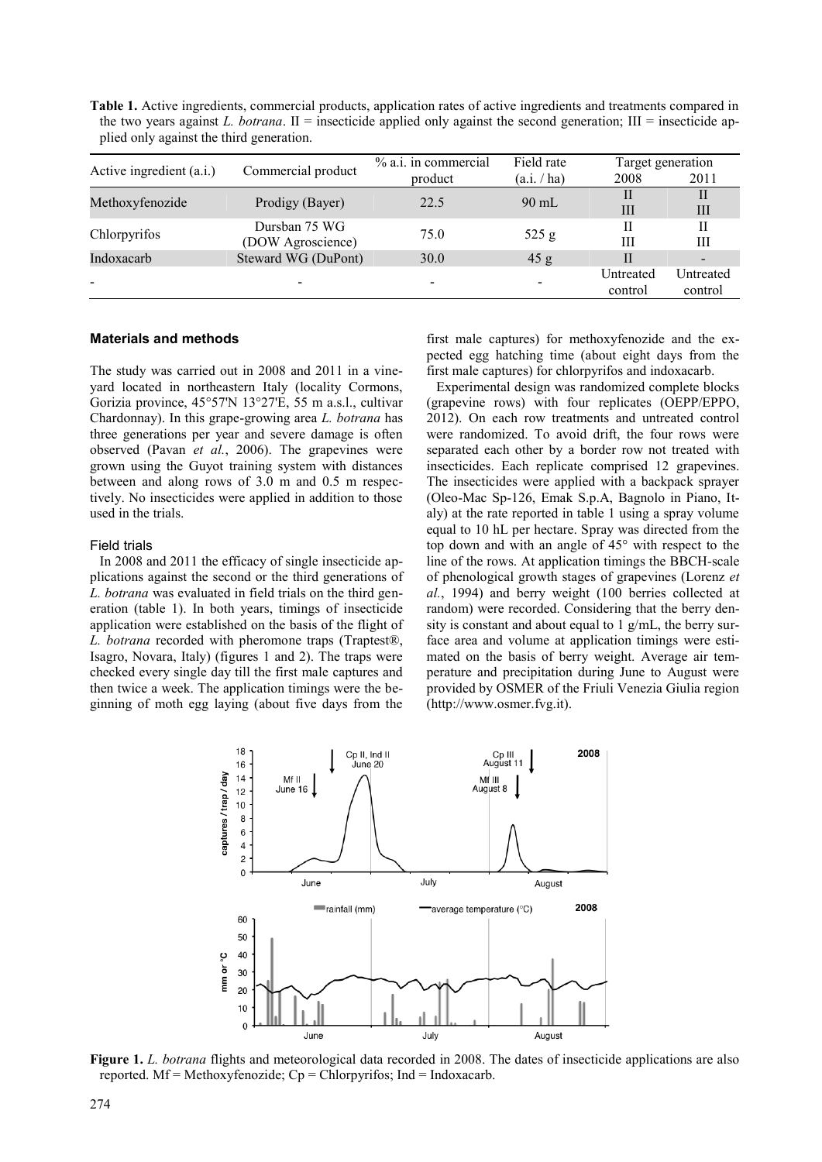**Table 1.** Active ingredients, commercial products, application rates of active ingredients and treatments compared in the two years against *L. botrana*. II = insecticide applied only against the second generation; III = insecticide applied only against the third generation.

| Active ingredient (a.i.) | Commercial product                 | % a.i. in commercial     | Field rate      | Target generation |                          |
|--------------------------|------------------------------------|--------------------------|-----------------|-------------------|--------------------------|
|                          |                                    | product                  | (a.i. / ha)     | 2008              | 2011                     |
| Methoxyfenozide          | Prodigy (Bayer)                    | 22.5                     | $90 \text{ mL}$ | П                 | H                        |
|                          |                                    |                          |                 | IΙI               | Ш                        |
| Chlorpyrifos             | Dursban 75 WG<br>(DOW Agroscience) | 75.0                     | 525 g           | П                 | П                        |
|                          |                                    |                          |                 | Ш                 | Ш                        |
| Indoxacarb               | Steward WG (DuPont)                | 30.0                     | 45 g            | $\mathbf{I}$      | $\overline{\phantom{a}}$ |
|                          |                                    |                          |                 | Untreated         | Untreated                |
|                          |                                    | $\overline{\phantom{0}}$ |                 | control           | control                  |
|                          |                                    |                          |                 |                   |                          |

## **Materials and methods**

The study was carried out in 2008 and 2011 in a vineyard located in northeastern Italy (locality Cormons, Gorizia province, 45°57'N 13°27'E, 55 m a.s.l., cultivar Chardonnay). In this grape-growing area *L. botrana* has three generations per year and severe damage is often observed (Pavan *et al.*, 2006). The grapevines were grown using the Guyot training system with distances between and along rows of 3.0 m and 0.5 m respectively. No insecticides were applied in addition to those used in the trials.

#### Field trials

In 2008 and 2011 the efficacy of single insecticide applications against the second or the third generations of *L. botrana* was evaluated in field trials on the third generation (table 1). In both years, timings of insecticide application were established on the basis of the flight of *L. botrana* recorded with pheromone traps (Traptest®, Isagro, Novara, Italy) (figures 1 and 2). The traps were checked every single day till the first male captures and then twice a week. The application timings were the beginning of moth egg laying (about five days from the

first male captures) for methoxyfenozide and the expected egg hatching time (about eight days from the first male captures) for chlorpyrifos and indoxacarb.

Experimental design was randomized complete blocks (grapevine rows) with four replicates (OEPP/EPPO, 2012). On each row treatments and untreated control were randomized. To avoid drift, the four rows were separated each other by a border row not treated with insecticides. Each replicate comprised 12 grapevines. The insecticides were applied with a backpack sprayer (Oleo-Mac Sp-126, Emak S.p.A, Bagnolo in Piano, Italy) at the rate reported in table 1 using a spray volume equal to 10 hL per hectare. Spray was directed from the top down and with an angle of 45° with respect to the line of the rows. At application timings the BBCH*-*scale of phenological growth stages of grapevines (Lorenz *et al.*, 1994) and berry weight (100 berries collected at random) were recorded. Considering that the berry density is constant and about equal to 1 g/mL, the berry surface area and volume at application timings were estimated on the basis of berry weight. Average air temperature and precipitation during June to August were provided by OSMER of the Friuli Venezia Giulia region (http://www.osmer.fvg.it).



**Figure 1.** *L. botrana* flights and meteorological data recorded in 2008. The dates of insecticide applications are also reported. Mf = Methoxyfenozide;  $Cp = Chlorpyrifos$ ; Ind = Indoxacarb.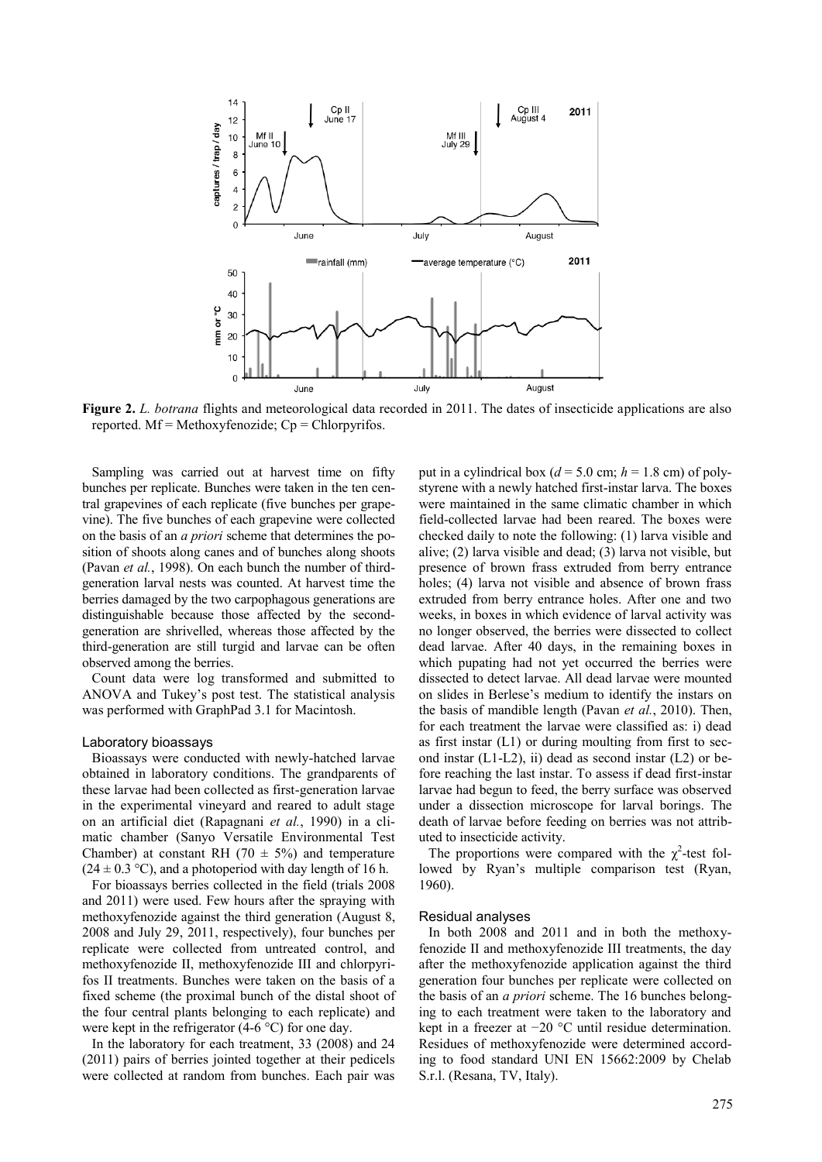

**Figure 2.** *L. botrana* flights and meteorological data recorded in 2011. The dates of insecticide applications are also reported.  $Mf = Methoxyfenozide$ ;  $Cp = Chlorpyrifos$ .

Sampling was carried out at harvest time on fifty bunches per replicate. Bunches were taken in the ten central grapevines of each replicate (five bunches per grapevine). The five bunches of each grapevine were collected on the basis of an *a priori* scheme that determines the position of shoots along canes and of bunches along shoots (Pavan *et al.*, 1998). On each bunch the number of thirdgeneration larval nests was counted. At harvest time the berries damaged by the two carpophagous generations are distinguishable because those affected by the secondgeneration are shrivelled, whereas those affected by the third-generation are still turgid and larvae can be often observed among the berries.

Count data were log transformed and submitted to ANOVA and Tukey's post test. The statistical analysis was performed with GraphPad 3.1 for Macintosh.

#### Laboratory bioassays

Bioassays were conducted with newly-hatched larvae obtained in laboratory conditions. The grandparents of these larvae had been collected as first-generation larvae in the experimental vineyard and reared to adult stage on an artificial diet (Rapagnani *et al.*, 1990) in a climatic chamber (Sanyo Versatile Environmental Test Chamber) at constant RH (70  $\pm$  5%) and temperature  $(24 \pm 0.3 \degree C)$ , and a photoperiod with day length of 16 h.

For bioassays berries collected in the field (trials 2008 and 2011) were used. Few hours after the spraying with methoxyfenozide against the third generation (August 8, 2008 and July 29, 2011, respectively), four bunches per replicate were collected from untreated control, and methoxyfenozide II, methoxyfenozide III and chlorpyrifos II treatments. Bunches were taken on the basis of a fixed scheme (the proximal bunch of the distal shoot of the four central plants belonging to each replicate) and were kept in the refrigerator (4-6 °C) for one day.

In the laboratory for each treatment, 33 (2008) and 24 (2011) pairs of berries jointed together at their pedicels were collected at random from bunches. Each pair was

put in a cylindrical box ( $d = 5.0$  cm;  $h = 1.8$  cm) of polystyrene with a newly hatched first-instar larva. The boxes were maintained in the same climatic chamber in which field-collected larvae had been reared. The boxes were checked daily to note the following: (1) larva visible and alive; (2) larva visible and dead; (3) larva not visible, but presence of brown frass extruded from berry entrance holes; (4) larva not visible and absence of brown frass extruded from berry entrance holes. After one and two weeks, in boxes in which evidence of larval activity was no longer observed, the berries were dissected to collect dead larvae. After 40 days, in the remaining boxes in which pupating had not yet occurred the berries were dissected to detect larvae. All dead larvae were mounted on slides in Berlese's medium to identify the instars on the basis of mandible length (Pavan *et al.*, 2010). Then, for each treatment the larvae were classified as: i) dead as first instar (L1) or during moulting from first to second instar  $(L1-L2)$ , ii) dead as second instar  $(L2)$  or before reaching the last instar. To assess if dead first-instar larvae had begun to feed, the berry surface was observed under a dissection microscope for larval borings. The death of larvae before feeding on berries was not attributed to insecticide activity.

The proportions were compared with the  $\chi^2$ -test followed by Ryan's multiple comparison test (Ryan, 1960).

#### Residual analyses

In both 2008 and 2011 and in both the methoxyfenozide II and methoxyfenozide III treatments, the day after the methoxyfenozide application against the third generation four bunches per replicate were collected on the basis of an *a priori* scheme. The 16 bunches belonging to each treatment were taken to the laboratory and kept in a freezer at −20 °C until residue determination. Residues of methoxyfenozide were determined according to food standard UNI EN 15662:2009 by Chelab S.r.l. (Resana, TV, Italy).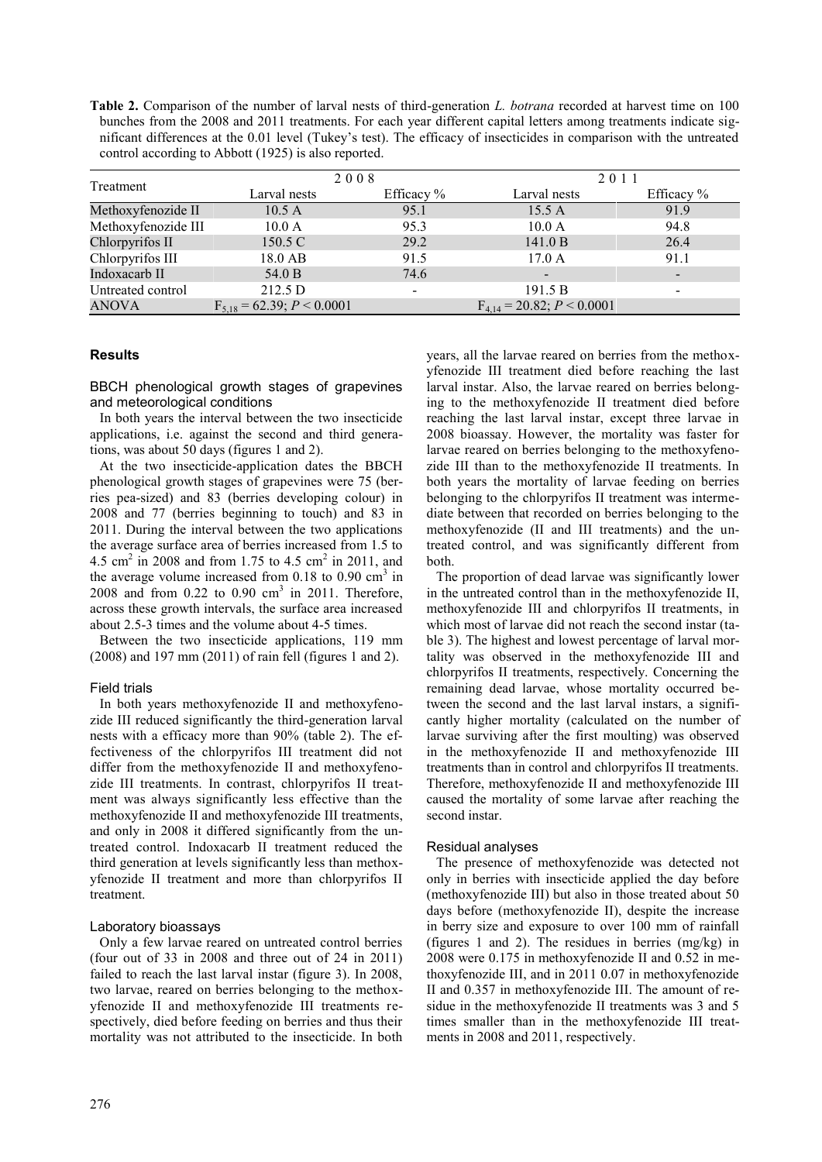**Table 2.** Comparison of the number of larval nests of third-generation *L. botrana* recorded at harvest time on 100 bunches from the 2008 and 2011 treatments. For each year different capital letters among treatments indicate significant differences at the 0.01 level (Tukey's test). The efficacy of insecticides in comparison with the untreated control according to Abbott (1925) is also reported.

| Treatment           | 2008                              |                          | 2011                              |                          |
|---------------------|-----------------------------------|--------------------------|-----------------------------------|--------------------------|
|                     | Larval nests                      | Efficacy $%$             | Larval nests                      | Efficacy %               |
| Methoxyfenozide II  | 10.5A                             | 95.1                     | 15.5 A                            | 91.9                     |
| Methoxyfenozide III | 10.0 A                            | 95.3                     | 10.0 A                            | 94.8                     |
| Chlorpyrifos II     | 150.5 C                           | 29.2                     | 141.0 B                           | 26.4                     |
| Chlorpyrifos III    | 18.0 AB                           | 91.5                     | 17.0A                             | 91.1                     |
| Indoxacarb II       | 54.0 B                            | 74.6                     | $\overline{\phantom{a}}$          |                          |
| Untreated control   | 212.5 D                           | $\overline{\phantom{a}}$ | 191.5 B                           | $\overline{\phantom{a}}$ |
| ANOVA               | $F_{5,18} = 62.39$ ; $P < 0.0001$ |                          | $F_{4,14} = 20.82$ ; $P < 0.0001$ |                          |

# **Results**

BBCH phenological growth stages of grapevines and meteorological conditions

In both years the interval between the two insecticide applications, i.e. against the second and third generations, was about 50 days (figures 1 and 2).

At the two insecticide-application dates the BBCH phenological growth stages of grapevines were 75 (berries pea-sized) and 83 (berries developing colour) in 2008 and 77 (berries beginning to touch) and 83 in 2011. During the interval between the two applications the average surface area of berries increased from 1.5 to 4.5 cm<sup>2</sup> in 2008 and from 1.75 to 4.5 cm<sup>2</sup> in 2011, and the average volume increased from  $0.18$  to  $0.90$  cm<sup>3</sup> in  $2008$  and from  $0.22$  to  $0.90$  cm<sup>3</sup> in 2011. Therefore, across these growth intervals, the surface area increased about 2.5-3 times and the volume about 4-5 times.

Between the two insecticide applications, 119 mm (2008) and 197 mm (2011) of rain fell (figures 1 and 2).

## Field trials

In both years methoxyfenozide II and methoxyfenozide III reduced significantly the third-generation larval nests with a efficacy more than 90% (table 2). The effectiveness of the chlorpyrifos III treatment did not differ from the methoxyfenozide II and methoxyfenozide III treatments. In contrast, chlorpyrifos II treatment was always significantly less effective than the methoxyfenozide II and methoxyfenozide III treatments, and only in 2008 it differed significantly from the untreated control. Indoxacarb II treatment reduced the third generation at levels significantly less than methoxyfenozide II treatment and more than chlorpyrifos II treatment.

# Laboratory bioassays

Only a few larvae reared on untreated control berries (four out of 33 in 2008 and three out of 24 in 2011) failed to reach the last larval instar (figure 3). In 2008, two larvae, reared on berries belonging to the methoxyfenozide II and methoxyfenozide III treatments respectively, died before feeding on berries and thus their mortality was not attributed to the insecticide. In both

years, all the larvae reared on berries from the methoxyfenozide III treatment died before reaching the last larval instar. Also, the larvae reared on berries belonging to the methoxyfenozide II treatment died before reaching the last larval instar, except three larvae in 2008 bioassay. However, the mortality was faster for larvae reared on berries belonging to the methoxyfenozide III than to the methoxyfenozide II treatments. In both years the mortality of larvae feeding on berries belonging to the chlorpyrifos II treatment was intermediate between that recorded on berries belonging to the methoxyfenozide (II and III treatments) and the untreated control, and was significantly different from both.

The proportion of dead larvae was significantly lower in the untreated control than in the methoxyfenozide II, methoxyfenozide III and chlorpyrifos II treatments, in which most of larvae did not reach the second instar (table 3). The highest and lowest percentage of larval mortality was observed in the methoxyfenozide III and chlorpyrifos II treatments, respectively. Concerning the remaining dead larvae, whose mortality occurred between the second and the last larval instars, a significantly higher mortality (calculated on the number of larvae surviving after the first moulting) was observed in the methoxyfenozide II and methoxyfenozide III treatments than in control and chlorpyrifos II treatments. Therefore, methoxyfenozide II and methoxyfenozide III caused the mortality of some larvae after reaching the second instar.

## Residual analyses

The presence of methoxyfenozide was detected not only in berries with insecticide applied the day before (methoxyfenozide III) but also in those treated about 50 days before (methoxyfenozide II), despite the increase in berry size and exposure to over 100 mm of rainfall (figures 1 and 2). The residues in berries (mg/kg) in 2008 were 0.175 in methoxyfenozide II and 0.52 in methoxyfenozide III, and in 2011 0.07 in methoxyfenozide II and 0.357 in methoxyfenozide III. The amount of residue in the methoxyfenozide II treatments was 3 and 5 times smaller than in the methoxyfenozide III treatments in 2008 and 2011, respectively.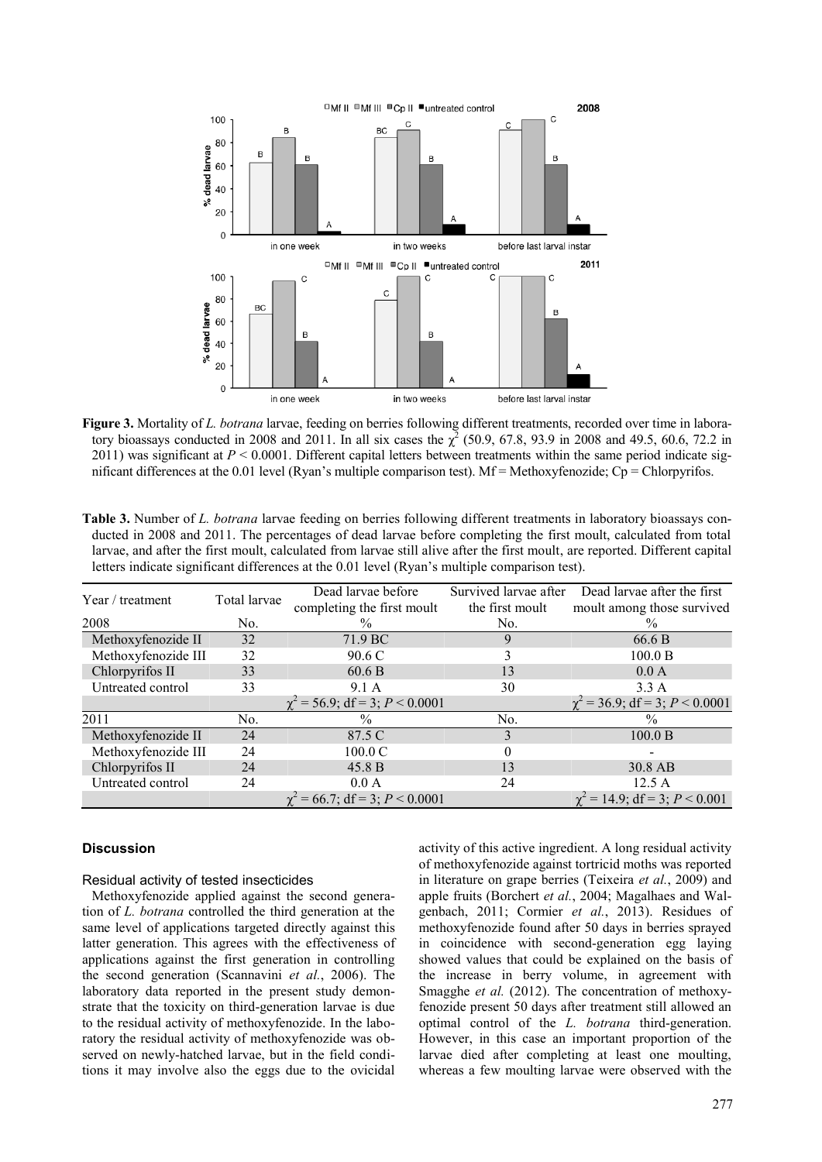

**Figure 3.** Mortality of *L. botrana* larvae, feeding on berries following different treatments, recorded over time in laboratory bioassays conducted in 2008 and 2011. In all six cases the  $\chi^2$  (50.9, 67.8, 93.9 in 2008 and 49.5, 60.6, 72.2 in 2011) was significant at  $P \le 0.0001$ . Different capital letters between treatments within the same period indicate significant differences at the 0.01 level (Ryan's multiple comparison test). Mf = Methoxyfenozide; Cp = Chlorpyrifos.

|                     |              | letters indicate significant differences at the 0.01 level (Ryan's multiple comparison test). |                                          | ialvac, and after the first mount, calculated from ialvac still alive after the first mount, are reported. Different capital |
|---------------------|--------------|-----------------------------------------------------------------------------------------------|------------------------------------------|------------------------------------------------------------------------------------------------------------------------------|
| Year / treatment    | Total larvae | Dead larvae before<br>completing the first moult                                              | Survived larvae after<br>the first moult | Dead larvae after the first<br>moult among those survived                                                                    |
| 2008                | No.          | $\%$                                                                                          | No.                                      | $\frac{0}{0}$                                                                                                                |
| Methoxyfenozide II  | 32           | 71.9 BC                                                                                       | 9                                        | 66.6 B                                                                                                                       |
| Methoxyfenozide III | 32           | 90.6 C                                                                                        |                                          | 100.0 B                                                                                                                      |
| Chlorpyrifos II     | 33           | 60.6 B                                                                                        | 13                                       | 0.0 A                                                                                                                        |
| Untreated control   | 33           | 9.1 A                                                                                         | 30                                       | 3.3A                                                                                                                         |
|                     |              | $\chi^2$ = 56.9; df = 3; P < 0.0001                                                           |                                          | $\chi^2$ = 36.9; df = 3; P < 0.0001                                                                                          |
| 2011                | No.          | $\frac{0}{0}$                                                                                 | No.                                      | $\frac{0}{0}$                                                                                                                |
| Methoxyfenozide II  | 24           | 87.5 C                                                                                        | 3                                        | 100.0 B                                                                                                                      |
| Methoxyfenozide III | 24           | $100.0 \text{ C}$                                                                             |                                          |                                                                                                                              |
| Chlorpyrifos II     | 24           | 45.8 B                                                                                        | 13                                       | 30.8 AB                                                                                                                      |
| Untreated control   | 24           | 0.0 A                                                                                         | 24                                       | 12.5 A                                                                                                                       |
|                     |              | $\gamma^2$ = 66.7; df = 3; P < 0.0001                                                         |                                          | $\gamma^2 = 14.9$ ; df = 3; P < 0.001                                                                                        |

**Table 3.** Number of *L. botrana* larvae feeding on berries following different treatments in laboratory bioassays conducted in 2008 and 2011. The percentages of dead larvae before completing the first moult, calculated from total larvae, and after the first moult, calculated from larvae still alive after the first moult, are reported. Different capital

## **Discussion**

## Residual activity of tested insecticides

Methoxyfenozide applied against the second generation of *L. botrana* controlled the third generation at the same level of applications targeted directly against this latter generation. This agrees with the effectiveness of applications against the first generation in controlling the second generation (Scannavini *et al.*, 2006). The laboratory data reported in the present study demonstrate that the toxicity on third-generation larvae is due to the residual activity of methoxyfenozide. In the laboratory the residual activity of methoxyfenozide was observed on newly-hatched larvae, but in the field conditions it may involve also the eggs due to the ovicidal

activity of this active ingredient. A long residual activity of methoxyfenozide against tortricid moths was reported in literature on grape berries (Teixeira *et al.*, 2009) and apple fruits (Borchert *et al.*, 2004; Magalhaes and Walgenbach, 2011; Cormier *et al.*, 2013). Residues of methoxyfenozide found after 50 days in berries sprayed in coincidence with second-generation egg laying showed values that could be explained on the basis of the increase in berry volume, in agreement with Smagghe *et al.* (2012). The concentration of methoxyfenozide present 50 days after treatment still allowed an optimal control of the *L. botrana* third-generation. However, in this case an important proportion of the larvae died after completing at least one moulting, whereas a few moulting larvae were observed with the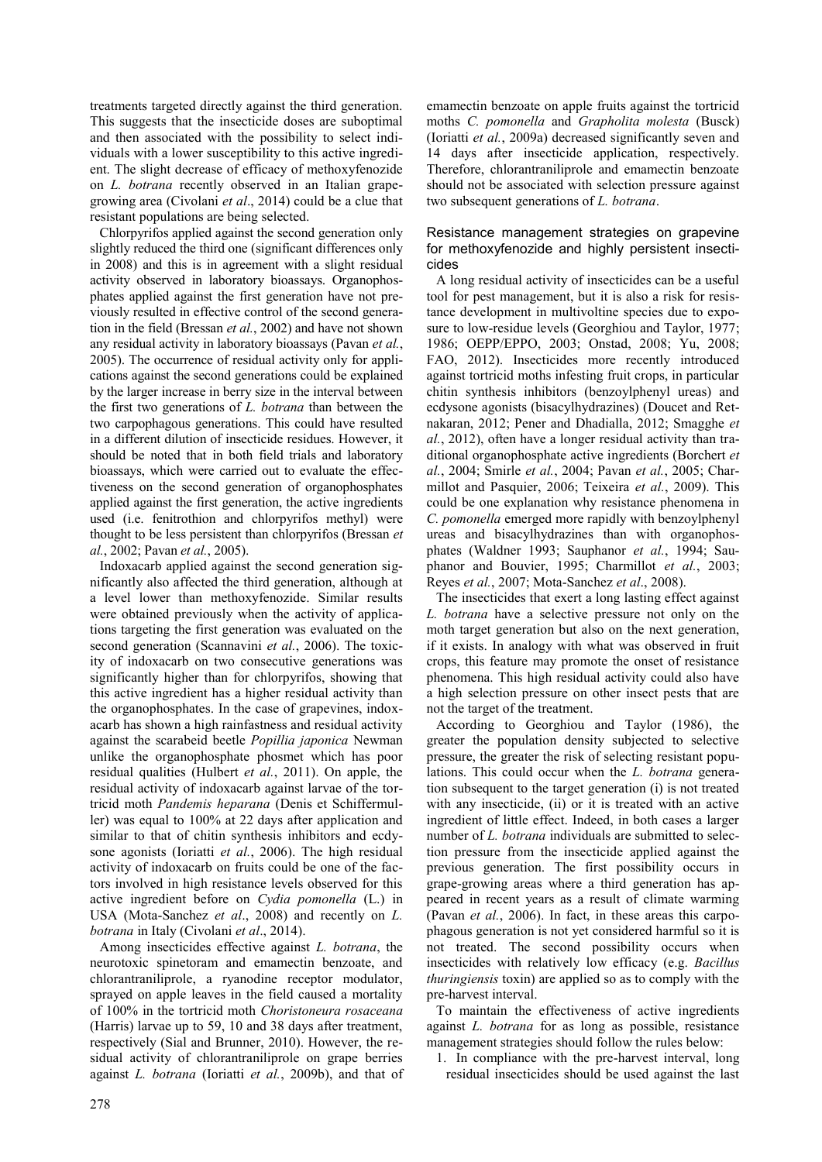treatments targeted directly against the third generation. This suggests that the insecticide doses are suboptimal and then associated with the possibility to select individuals with a lower susceptibility to this active ingredient. The slight decrease of efficacy of methoxyfenozide on *L. botrana* recently observed in an Italian grapegrowing area (Civolani *et al*., 2014) could be a clue that resistant populations are being selected.

Chlorpyrifos applied against the second generation only slightly reduced the third one (significant differences only in 2008) and this is in agreement with a slight residual activity observed in laboratory bioassays. Organophosphates applied against the first generation have not previously resulted in effective control of the second generation in the field (Bressan *et al.*, 2002) and have not shown any residual activity in laboratory bioassays (Pavan *et al.*, 2005). The occurrence of residual activity only for applications against the second generations could be explained by the larger increase in berry size in the interval between the first two generations of *L. botrana* than between the two carpophagous generations. This could have resulted in a different dilution of insecticide residues. However, it should be noted that in both field trials and laboratory bioassays, which were carried out to evaluate the effectiveness on the second generation of organophosphates applied against the first generation, the active ingredients used (i.e. fenitrothion and chlorpyrifos methyl) were thought to be less persistent than chlorpyrifos (Bressan *et al.*, 2002; Pavan *et al.*, 2005).

Indoxacarb applied against the second generation significantly also affected the third generation, although at a level lower than methoxyfenozide. Similar results were obtained previously when the activity of applications targeting the first generation was evaluated on the second generation (Scannavini *et al.*, 2006). The toxicity of indoxacarb on two consecutive generations was significantly higher than for chlorpyrifos, showing that this active ingredient has a higher residual activity than the organophosphates. In the case of grapevines, indoxacarb has shown a high rainfastness and residual activity against the scarabeid beetle *Popillia japonica* Newman unlike the organophosphate phosmet which has poor residual qualities (Hulbert *et al.*, 2011). On apple, the residual activity of indoxacarb against larvae of the tortricid moth *Pandemis heparana* (Denis et Schiffermuller) was equal to 100% at 22 days after application and similar to that of chitin synthesis inhibitors and ecdysone agonists (Ioriatti *et al.*, 2006). The high residual activity of indoxacarb on fruits could be one of the factors involved in high resistance levels observed for this active ingredient before on *Cydia pomonella* (L.) in USA (Mota-Sanchez *et al*., 2008) and recently on *L. botrana* in Italy (Civolani *et al*., 2014).

Among insecticides effective against *L. botrana*, the neurotoxic spinetoram and emamectin benzoate, and chlorantraniliprole, a ryanodine receptor modulator, sprayed on apple leaves in the field caused a mortality of 100% in the tortricid moth *Choristoneura rosaceana* (Harris) larvae up to 59, 10 and 38 days after treatment, respectively (Sial and Brunner, 2010). However, the residual activity of chlorantraniliprole on grape berries against *L. botrana* (Ioriatti *et al.*, 2009b), and that of

emamectin benzoate on apple fruits against the tortricid moths *C. pomonella* and *Grapholita molesta* (Busck) (Ioriatti *et al.*, 2009a) decreased significantly seven and 14 days after insecticide application, respectively. Therefore, chlorantraniliprole and emamectin benzoate should not be associated with selection pressure against two subsequent generations of *L. botrana*.

Resistance management strategies on grapevine for methoxyfenozide and highly persistent insecticides

A long residual activity of insecticides can be a useful tool for pest management, but it is also a risk for resistance development in multivoltine species due to exposure to low-residue levels (Georghiou and Taylor, 1977; 1986; OEPP/EPPO, 2003; Onstad, 2008; Yu, 2008; FAO, 2012). Insecticides more recently introduced against tortricid moths infesting fruit crops, in particular chitin synthesis inhibitors (benzoylphenyl ureas) and ecdysone agonists (bisacylhydrazines) (Doucet and Retnakaran, 2012; Pener and Dhadialla, 2012; Smagghe *et al.*, 2012), often have a longer residual activity than traditional organophosphate active ingredients (Borchert *et al.*, 2004; Smirle *et al.*, 2004; Pavan *et al.*, 2005; Charmillot and Pasquier, 2006; Teixeira *et al.*, 2009). This could be one explanation why resistance phenomena in *C. pomonella* emerged more rapidly with benzoylphenyl ureas and bisacylhydrazines than with organophosphates (Waldner 1993; Sauphanor *et al.*, 1994; Sauphanor and Bouvier, 1995; Charmillot *et al.*, 2003; Reyes *et al.*, 2007; Mota-Sanchez *et al*., 2008).

The insecticides that exert a long lasting effect against *L. botrana* have a selective pressure not only on the moth target generation but also on the next generation, if it exists. In analogy with what was observed in fruit crops, this feature may promote the onset of resistance phenomena. This high residual activity could also have a high selection pressure on other insect pests that are not the target of the treatment.

According to Georghiou and Taylor (1986), the greater the population density subjected to selective pressure, the greater the risk of selecting resistant populations. This could occur when the *L. botrana* generation subsequent to the target generation (i) is not treated with any insecticide, (ii) or it is treated with an active ingredient of little effect. Indeed, in both cases a larger number of *L. botrana* individuals are submitted to selection pressure from the insecticide applied against the previous generation. The first possibility occurs in grape-growing areas where a third generation has appeared in recent years as a result of climate warming (Pavan *et al.*, 2006). In fact, in these areas this carpophagous generation is not yet considered harmful so it is not treated. The second possibility occurs when insecticides with relatively low efficacy (e.g. *Bacillus thuringiensis* toxin) are applied so as to comply with the pre-harvest interval.

To maintain the effectiveness of active ingredients against *L. botrana* for as long as possible, resistance management strategies should follow the rules below:

1. In compliance with the pre-harvest interval, long residual insecticides should be used against the last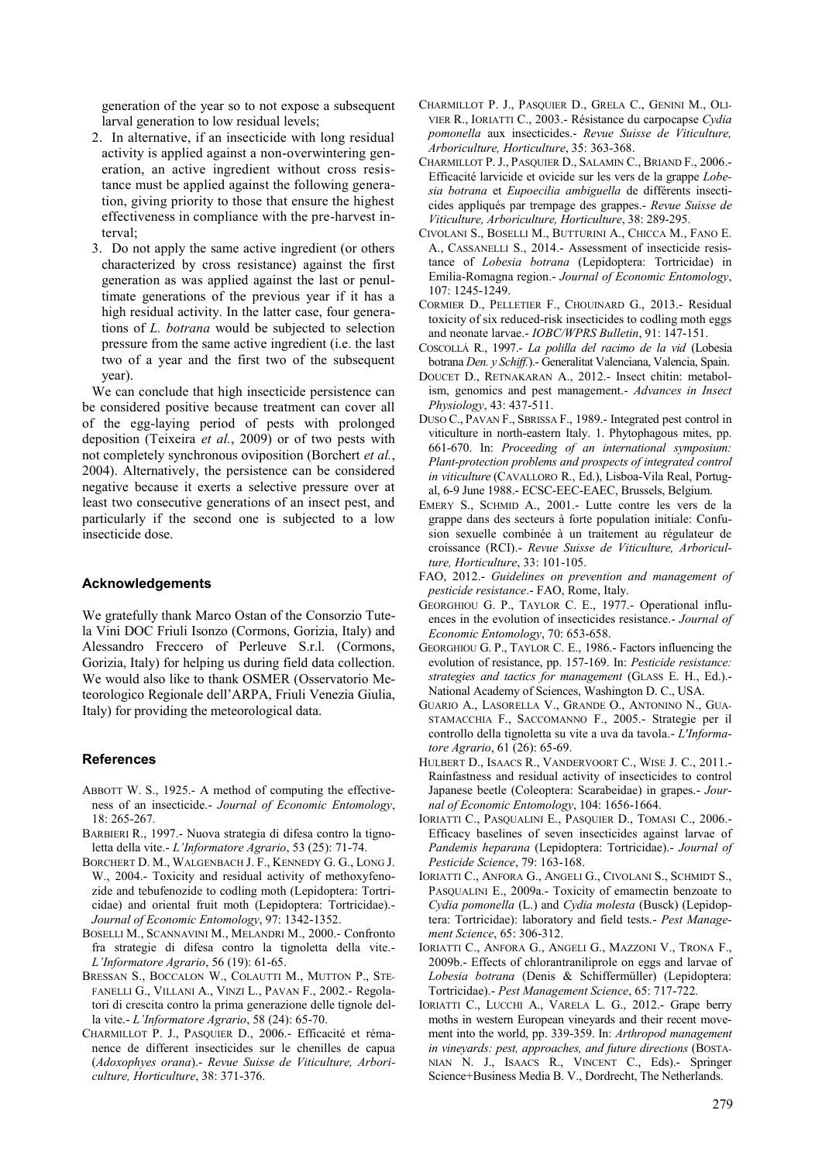generation of the year so to not expose a subsequent larval generation to low residual levels;

- 2. In alternative, if an insecticide with long residual activity is applied against a non-overwintering generation, an active ingredient without cross resistance must be applied against the following generation, giving priority to those that ensure the highest effectiveness in compliance with the pre-harvest interval;
- 3. Do not apply the same active ingredient (or others characterized by cross resistance) against the first generation as was applied against the last or penultimate generations of the previous year if it has a high residual activity. In the latter case, four generations of *L. botrana* would be subjected to selection pressure from the same active ingredient (i.e. the last two of a year and the first two of the subsequent year).

We can conclude that high insecticide persistence can be considered positive because treatment can cover all of the egg-laying period of pests with prolonged deposition (Teixeira *et al.*, 2009) or of two pests with not completely synchronous oviposition (Borchert *et al.*, 2004). Alternatively, the persistence can be considered negative because it exerts a selective pressure over at least two consecutive generations of an insect pest, and particularly if the second one is subjected to a low insecticide dose.

#### **Acknowledgements**

We gratefully thank Marco Ostan of the Consorzio Tutela Vini DOC Friuli Isonzo (Cormons, Gorizia, Italy) and Alessandro Freccero of Perleuve S.r.l. (Cormons, Gorizia, Italy) for helping us during field data collection. We would also like to thank OSMER (Osservatorio Meteorologico Regionale dell'ARPA, Friuli Venezia Giulia, Italy) for providing the meteorological data.

#### **References**

- ABBOTT W. S., 1925.- A method of computing the effectiveness of an insecticide.- *Journal of Economic Entomology*, 18: 265-267.
- BARBIERI R., 1997.- Nuova strategia di difesa contro la tignoletta della vite.- *L'Informatore Agrario*, 53 (25): 71-74.
- BORCHERT D. M., WALGENBACH J. F., KENNEDY G. G., LONG J. W., 2004.- Toxicity and residual activity of methoxyfenozide and tebufenozide to codling moth (Lepidoptera: Tortricidae) and oriental fruit moth (Lepidoptera: Tortricidae).- *Journal of Economic Entomology*, 97: 1342-1352.
- BOSELLI M., SCANNAVINI M., MELANDRI M., 2000.- Confronto fra strategie di difesa contro la tignoletta della vite.- *L'Informatore Agrario*, 56 (19): 61-65.
- BRESSAN S., BOCCALON W., COLAUTTI M., MUTTON P., STE-FANELLI G., VILLANI A., VINZI L., PAVAN F., 2002.- Regolatori di crescita contro la prima generazione delle tignole della vite.- *L'Informatore Agrario*, 58 (24): 65-70.
- CHARMILLOT P. J., PASQUIER D., 2006.- Efficacité et rémanence de different insecticides sur le chenilles de capua (*Adoxophyes orana*).- *Revue Suisse de Viticulture, Arboriculture, Horticulture*, 38: 371-376.
- CHARMILLOT P. J., PASQUIER D., GRELA C., GENINI M., OLI-VIER R., IORIATTI C., 2003.- Résistance du carpocapse *Cydia pomonella* aux insecticides.- *Revue Suisse de Viticulture, Arboriculture, Horticulture*, 35: 363-368.
- CHARMILLOT P.J., PASQUIER D., SALAMIN C., BRIAND F., 2006.- Efficacité larvicide et ovicide sur les vers de la grappe *Lobesia botrana* et *Eupoecilia ambiguella* de différents insecticides appliqués par trempage des grappes.- *Revue Suisse de Viticulture, Arboriculture, Horticulture*, 38: 289-295.
- CIVOLANI S., BOSELLI M., BUTTURINI A., CHICCA M., FANO E. A., CASSANELLI S., 2014.- Assessment of insecticide resistance of *Lobesia botrana* (Lepidoptera: Tortricidae) in Emilia-Romagna region.- *Journal of Economic Entomology*, 107: 1245-1249.
- CORMIER D., PELLETIER F., CHOUINARD G., 2013.- Residual toxicity of six reduced-risk insecticides to codling moth eggs and neonate larvae.- *IOBC/WPRS Bulletin*, 91: 147-151.
- COSCOLLÁ R., 1997.- *La polilla del racimo de la vid* (Lobesia botrana *Den. y Schiff.*).- Generalitat Valenciana, Valencia, Spain.
- DOUCET D., RETNAKARAN A., 2012.- Insect chitin: metabolism, genomics and pest management.- *Advances in Insect Physiology*, 43: 437-511.
- DUSO C., PAVAN F., SBRISSA F., 1989.- Integrated pest control in viticulture in north-eastern Italy. 1. Phytophagous mites, pp. 661-670. In: *Proceeding of an international symposium: Plant-protection problems and prospects of integrated control in viticulture* (CAVALLORO R., Ed.), Lisboa-Vila Real, Portugal, 6-9 June 1988.- ECSC-EEC-EAEC, Brussels, Belgium.
- EMERY S., SCHMID A., 2001.- Lutte contre les vers de la grappe dans des secteurs à forte population initiale: Confusion sexuelle combinée à un traitement au régulateur de croissance (RCI).- *Revue Suisse de Viticulture, Arboriculture, Horticulture*, 33: 101-105.
- FAO, 2012.- *Guidelines on prevention and management of pesticide resistance*.- FAO, Rome, Italy.
- GEORGHIOU G. P., TAYLOR C. E., 1977.- Operational influences in the evolution of insecticides resistance.- *Journal of Economic Entomology*, 70: 653-658.
- GEORGHIOU G. P., TAYLOR C. E., 1986.- Factors influencing the evolution of resistance, pp. 157-169. In: *Pesticide resistance: strategies and tactics for management* (GLASS E. H., Ed.).- National Academy of Sciences, Washington D. C., USA.
- GUARIO A., LASORELLA V., GRANDE O., ANTONINO N., GUA-STAMACCHIA F., SACCOMANNO F., 2005.- Strategie per il controllo della tignoletta su vite a uva da tavola.- *L'Informatore Agrario*, 61 (26): 65-69.
- HULBERT D., ISAACS R., VANDERVOORT C., WISE J. C., 2011.- Rainfastness and residual activity of insecticides to control Japanese beetle (Coleoptera: Scarabeidae) in grapes.- *Journal of Economic Entomology*, 104: 1656-1664.
- IORIATTI C., PASQUALINI E., PASQUIER D., TOMASI C., 2006.- Efficacy baselines of seven insecticides against larvae of *Pandemis heparana* (Lepidoptera: Tortricidae).- *Journal of Pesticide Science*, 79: 163-168.
- IORIATTI C., ANFORA G., ANGELI G., CIVOLANI S., SCHMIDT S., PASQUALINI E., 2009a.- Toxicity of emamectin benzoate to *Cydia pomonella* (L.) and *Cydia molesta* (Busck) (Lepidoptera: Tortricidae): laboratory and field tests.- *Pest Management Science*, 65: 306-312.
- IORIATTI C., ANFORA G., ANGELI G., MAZZONI V., TRONA F., 2009b.- Effects of chlorantraniliprole on eggs and larvae of *Lobesia botrana* (Denis & Schiffermüller) (Lepidoptera: Tortricidae).- *Pest Management Science*, 65: 717-722.
- IORIATTI C., LUCCHI A., VARELA L. G., 2012.- Grape berry moths in western European vineyards and their recent movement into the world, pp. 339-359. In: *Arthropod management in vineyards: pest, approaches, and future directions* (BOSTA-NIAN N. J., ISAACS R., VINCENT C., Eds).- Springer Science+Business Media B. V., Dordrecht, The Netherlands.